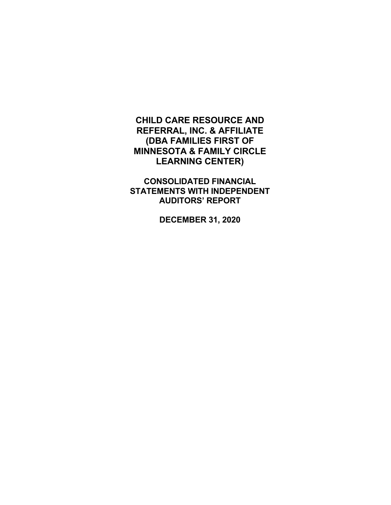**CONSOLIDATED FINANCIAL STATEMENTS WITH INDEPENDENT AUDITORS' REPORT** 

**DECEMBER 31, 2020**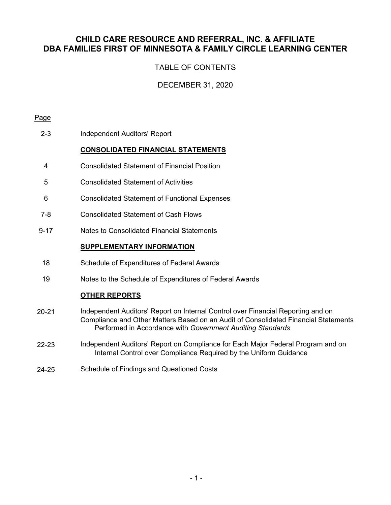# TABLE OF CONTENTS

# DECEMBER 31, 2020

#### Page

2-3 Independent Auditors' Report

### **CONSOLIDATED FINANCIAL STATEMENTS**

- 4 Consolidated Statement of Financial Position
- 5 Consolidated Statement of Activities
- 6 Consolidated Statement of Functional Expenses
- 7-8 Consolidated Statement of Cash Flows
- 9-17 Notes to Consolidated Financial Statements

### **SUPPLEMENTARY INFORMATION**

- 18 Schedule of Expenditures of Federal Awards
- 19 Notes to the Schedule of Expenditures of Federal Awards

### **OTHER REPORTS**

- 20-21 Independent Auditors' Report on Internal Control over Financial Reporting and on Compliance and Other Matters Based on an Audit of Consolidated Financial Statements Performed in Accordance with *Government Auditing Standards*
- 22-23 Independent Auditors' Report on Compliance for Each Major Federal Program and on Internal Control over Compliance Required by the Uniform Guidance
- 24-25 Schedule of Findings and Questioned Costs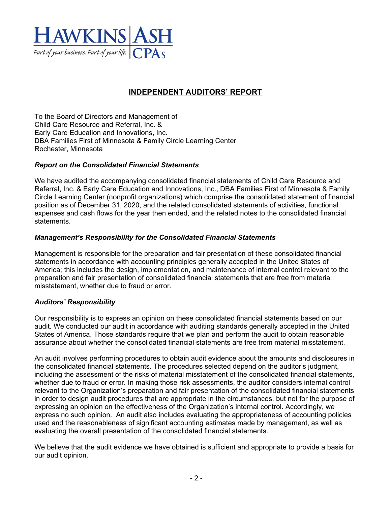

## **INDEPENDENT AUDITORS' REPORT**

To the Board of Directors and Management of Child Care Resource and Referral, Inc. & Early Care Education and Innovations, Inc. DBA Families First of Minnesota & Family Circle Learning Center Rochester, Minnesota

#### *Report on the Consolidated Financial Statements*

We have audited the accompanying consolidated financial statements of Child Care Resource and Referral, Inc. & Early Care Education and Innovations, Inc., DBA Families First of Minnesota & Family Circle Learning Center (nonprofit organizations) which comprise the consolidated statement of financial position as of December 31, 2020, and the related consolidated statements of activities, functional expenses and cash flows for the year then ended, and the related notes to the consolidated financial statements.

#### *Management's Responsibility for the Consolidated Financial Statements*

Management is responsible for the preparation and fair presentation of these consolidated financial statements in accordance with accounting principles generally accepted in the United States of America; this includes the design, implementation, and maintenance of internal control relevant to the preparation and fair presentation of consolidated financial statements that are free from material misstatement, whether due to fraud or error.

#### *Auditors' Responsibility*

Our responsibility is to express an opinion on these consolidated financial statements based on our audit. We conducted our audit in accordance with auditing standards generally accepted in the United States of America. Those standards require that we plan and perform the audit to obtain reasonable assurance about whether the consolidated financial statements are free from material misstatement.

An audit involves performing procedures to obtain audit evidence about the amounts and disclosures in the consolidated financial statements. The procedures selected depend on the auditor's judgment, including the assessment of the risks of material misstatement of the consolidated financial statements, whether due to fraud or error. In making those risk assessments, the auditor considers internal control relevant to the Organization's preparation and fair presentation of the consolidated financial statements in order to design audit procedures that are appropriate in the circumstances, but not for the purpose of expressing an opinion on the effectiveness of the Organization's internal control. Accordingly, we express no such opinion. An audit also includes evaluating the appropriateness of accounting policies used and the reasonableness of significant accounting estimates made by management, as well as evaluating the overall presentation of the consolidated financial statements.

We believe that the audit evidence we have obtained is sufficient and appropriate to provide a basis for our audit opinion.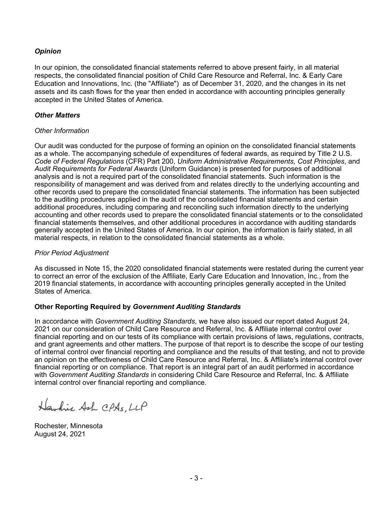#### *Opinion*

In our opinion, the consolidated financial statements referred to above present fairly, in all material respects, the consolidated financial position of Child Care Resource and Referral, Inc. & Early Care Education and Innovations, Inc. (the "Affiliate") as of December 31, 2020, and the changes in its net assets and its cash flows for the year then ended in accordance with accounting principles generally accepted in the United States of America.

#### *Other Matters*

#### *Other Information*

Our audit was conducted for the purpose of forming an opinion on the consolidated financial statements as a whole. The accompanying schedule of expenditures of federal awards, as required by Title 2 U.S. *Code of Federal Regulations* (CFR) Part 200, *Uniform Administrative Requirements, Cost Principles*, and *Audit Requirements for Federal Awards* (Uniform Guidance) is presented for purposes of additional analysis and is not a required part of the consolidated financial statements. Such information is the responsibility of management and was derived from and relates directly to the underlying accounting and other records used to prepare the consolidated financial statements. The information has been subjected to the auditing procedures applied in the audit of the consolidated financial statements and certain additional procedures, including comparing and reconciling such information directly to the underlying accounting and other records used to prepare the consolidated financial statements or to the consolidated financial statements themselves, and other additional procedures in accordance with auditing standards generally accepted in the United States of America. In our opinion, the information is fairly stated, in all material respects, in relation to the consolidated financial statements as a whole.

#### *Prior Period Adjustment*

As discussed in Note 15, the 2020 consolidated financial statements were restated during the current year to correct an error of the exclusion of the Affiliate, Early Care Education and Innovation, Inc., from the 2019 financial statements, in accordance with accounting principles generally accepted in the United States of America.

#### **Other Reporting Required by** *Government Auditing Standards*

In accordance with *Government Auditing Standards*, we have also issued our report dated August 24, 2021 on our consideration of Child Care Resource and Referral, Inc. & Affiliate internal control over financial reporting and on our tests of its compliance with certain provisions of laws, regulations, contracts, and grant agreements and other matters. The purpose of that report is to describe the scope of our testing of internal control over financial reporting and compliance and the results of that testing, and not to provide an opinion on the effectiveness of Child Care Resource and Referral, Inc. & Affiliate's internal control over financial reporting or on compliance. That report is an integral part of an audit performed in accordance with *Government Auditing Standards* in considering Child Care Resource and Referral, Inc. & Affiliate internal control over financial reporting and compliance.

Hawkie Ash CPAS, LLP

Rochester, Minnesota August 24, 2021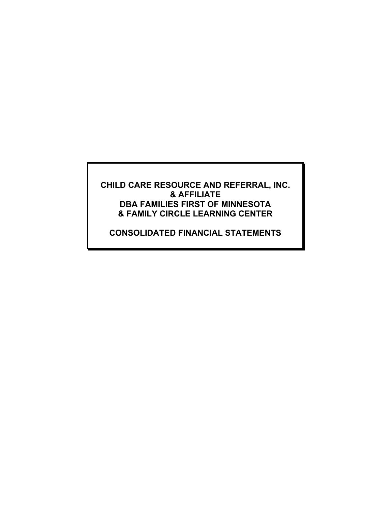**CONSOLIDATED FINANCIAL STATEMENTS**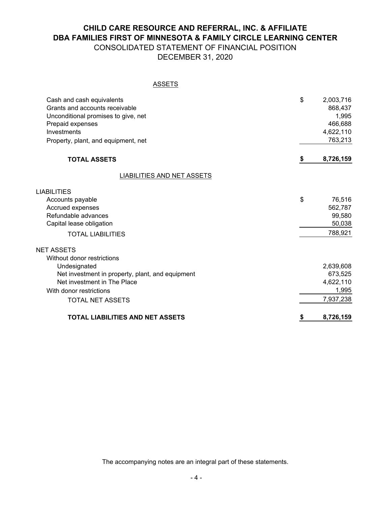## **CHILD CARE RESOURCE AND REFERRAL, INC. & AFFILIATE DBA FAMILIES FIRST OF MINNESOTA & FAMILY CIRCLE LEARNING CENTER** CONSOLIDATED STATEMENT OF FINANCIAL POSITION

DECEMBER 31, 2020

| <b>ASSETS</b>                                                                                                                                                                                            |                                                                        |
|----------------------------------------------------------------------------------------------------------------------------------------------------------------------------------------------------------|------------------------------------------------------------------------|
| Cash and cash equivalents<br>Grants and accounts receivable<br>Unconditional promises to give, net<br>Prepaid expenses<br>Investments<br>Property, plant, and equipment, net                             | \$<br>2,003,716<br>868,437<br>1,995<br>466,688<br>4,622,110<br>763,213 |
| <b>TOTAL ASSETS</b>                                                                                                                                                                                      | \$<br>8,726,159                                                        |
| <b>LIABILITIES AND NET ASSETS</b>                                                                                                                                                                        |                                                                        |
| <b>LIABILITIES</b><br>Accounts payable<br>Accrued expenses<br>Refundable advances<br>Capital lease obligation<br><b>TOTAL LIABILITIES</b>                                                                | \$<br>76,516<br>562,787<br>99,580<br>50,038<br>788,921                 |
| <b>NET ASSETS</b><br>Without donor restrictions<br>Undesignated<br>Net investment in property, plant, and equipment<br>Net investment in The Place<br>With donor restrictions<br><b>TOTAL NET ASSETS</b> | 2,639,608<br>673,525<br>4,622,110<br>1,995<br>7,937,238                |
| <b>TOTAL LIABILITIES AND NET ASSETS</b>                                                                                                                                                                  | \$<br>8,726,159                                                        |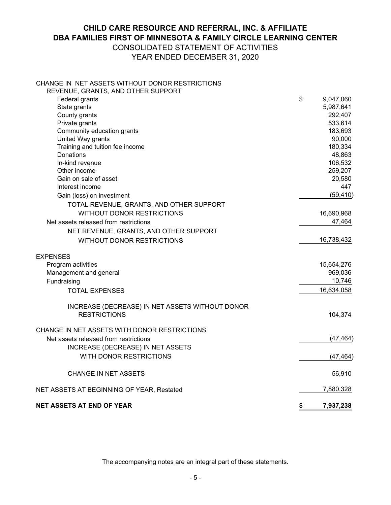# **CHILD CARE RESOURCE AND REFERRAL, INC. & AFFILIATE DBA FAMILIES FIRST OF MINNESOTA & FAMILY CIRCLE LEARNING CENTER** CONSOLIDATED STATEMENT OF ACTIVITIES

YEAR ENDED DECEMBER 31, 2020

#### CHANGE IN NET ASSETS WITHOUT DONOR RESTRICTIONS

| REVENUE, GRANTS, AND OTHER SUPPORT              |                 |
|-------------------------------------------------|-----------------|
| Federal grants                                  | \$<br>9,047,060 |
| State grants                                    | 5,987,641       |
| County grants                                   | 292,407         |
| Private grants                                  | 533,614         |
| Community education grants                      | 183,693         |
| United Way grants                               | 90,000          |
| Training and tuition fee income                 | 180,334         |
| Donations                                       | 48,863          |
| In-kind revenue                                 | 106,532         |
| Other income                                    | 259,207         |
| Gain on sale of asset                           | 20,580          |
| Interest income                                 | 447             |
| Gain (loss) on investment                       | (59, 410)       |
| TOTAL REVENUE, GRANTS, AND OTHER SUPPORT        |                 |
| <b>WITHOUT DONOR RESTRICTIONS</b>               | 16,690,968      |
| Net assets released from restrictions           | 47,464          |
| NET REVENUE, GRANTS, AND OTHER SUPPORT          |                 |
| <b>WITHOUT DONOR RESTRICTIONS</b>               | 16,738,432      |
| <b>EXPENSES</b>                                 |                 |
| Program activities                              | 15,654,276      |
| Management and general                          | 969,036         |
| Fundraising                                     | 10,746          |
| <b>TOTAL EXPENSES</b>                           | 16,634,058      |
| INCREASE (DECREASE) IN NET ASSETS WITHOUT DONOR |                 |
| <b>RESTRICTIONS</b>                             | 104,374         |
| CHANGE IN NET ASSETS WITH DONOR RESTRICTIONS    |                 |
| Net assets released from restrictions           | (47, 464)       |
| INCREASE (DECREASE) IN NET ASSETS               |                 |
| WITH DONOR RESTRICTIONS                         | (47, 464)       |
| <b>CHANGE IN NET ASSETS</b>                     | 56,910          |
| NET ASSETS AT BEGINNING OF YEAR, Restated       | 7,880,328       |
| <b>NET ASSETS AT END OF YEAR</b>                | \$<br>7,937,238 |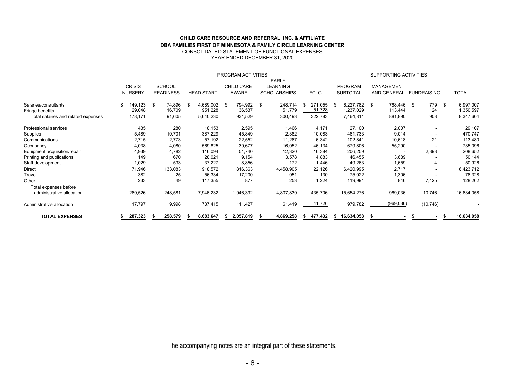#### **CHILD CARE RESOURCE AND REFERRAL, INC. & AFFILIATE DBA FAMILIES FIRST OF MINNESOTA & FAMILY CIRCLE LEARNING CENTER**CONSOLIDATED STATEMENT OF FUNCTIONAL EXPENSESYEAR ENDED DECEMBER 31, 2020

|                                         |                   |                        |                            | PROGRAM ACTIVITIES       |                         |                        |                              | SUPPORTING ACTIVITIES       |                    |                             |
|-----------------------------------------|-------------------|------------------------|----------------------------|--------------------------|-------------------------|------------------------|------------------------------|-----------------------------|--------------------|-----------------------------|
|                                         |                   |                        |                            |                          | <b>EARLY</b>            |                        |                              |                             |                    |                             |
|                                         | <b>CRISIS</b>     | <b>SCHOOL</b>          |                            | <b>CHILD CARE</b>        | <b>LEARNING</b>         |                        | <b>PROGRAM</b>               | <b>MANAGEMENT</b>           |                    |                             |
|                                         | <b>NURSERY</b>    | <b>READINESS</b>       | <b>HEAD START</b>          | AWARE                    | <b>SCHOLARSHIPS</b>     | <b>FCLC</b>            | <b>SUBTOTAL</b>              | AND GENERAL                 | <b>FUNDRAISING</b> | <b>TOTAL</b>                |
| Salaries/consultants<br>Fringe benefits | 149,123<br>29,048 | 74,896<br>\$<br>16,709 | 4,689,002<br>\$<br>951,228 | 794,992<br>\$<br>136,537 | 248,714<br>\$<br>51,779 | 271,055<br>S<br>51,728 | 6,227,782<br>£.<br>1,237,029 | 768,446 \$<br>\$<br>113,444 | 779<br>124         | 6,997,007<br>\$<br>,350,597 |
| Total salaries and related expenses     | 178,171           | 91,605                 | 5,640,230                  | 931,529                  | 300,493                 | 322,783                | 7,464,811                    | 881,890                     | 903                | 8,347,604                   |
| <b>Professional services</b>            | 435               | 280                    | 18,153                     | 2,595                    | 1,466                   | 4,171                  | 27,100                       | 2,007                       |                    | 29,107                      |
| <b>Supplies</b>                         | 5,489             | 10,701                 | 387,229                    | 45,849                   | 2,382                   | 10,083                 | 461,733                      | 9,014                       |                    | 470,747                     |
| Communications                          | 2,715             | 2,773                  | 57,192                     | 22,552                   | 11,267                  | 6,342                  | 102,841                      | 10,618                      | 21                 | 113,480                     |
| Occupancy                               | 4,038             | 4,080                  | 569,825                    | 39,677                   | 16,052                  | 46,134                 | 679,806                      | 55,290                      |                    | 735,096                     |
| Equipment acquisition/repair            | 4,939             | 4,782                  | 116,094                    | 51,740                   | 12,320                  | 16,384                 | 206,259                      |                             | 2,393              | 208,652                     |
| Printing and publications               | 149               | 670                    | 28,021                     | 9,154                    | 3,578                   | 4,883                  | 46,455                       | 3,689                       |                    | 50,144                      |
| Staff development                       | 1,029             | 533                    | 37,227                     | 8,856                    | 172                     | 1,446                  | 49,263                       | 1,659                       |                    | 50,926                      |
| Direct                                  | 71,946            | 133,083                | 918,572                    | 816,363                  | 4,458,905               | 22,126                 | 6,420,995                    | 2,717                       |                    | 6,423,712                   |
| Travel                                  | 382               | 25                     | 56,334                     | 17,200                   | 951                     | 130                    | 75,022                       | 1,306                       |                    | 76,328                      |
| Other                                   | 233               | 49                     | 117,355                    | 877                      | 253                     | ,224                   | 119,991                      | 846                         | 7,425              | 128,262                     |
| Total expenses before                   |                   |                        |                            |                          |                         |                        |                              |                             |                    |                             |
| administrative allocation               | 269,526           | 248,581                | 7,946,232                  | 1,946,392                | 4,807,839               | 435,706                | 15,654,276                   | 969,036                     | 10,746             | 16,634,058                  |
| Administrative allocation               | 17,797            | 9,998                  | 737,415                    | 111,427                  | 61,419                  | 41,726                 | 979,782                      | (969, 036)                  | (10, 746)          |                             |
| <b>TOTAL EXPENSES</b>                   | 287,323           | 258,579                | 8,683,647<br>S             | 2,057,819<br>s.          | 4,869,258               | 477,432<br>s.          | \$16,634,058                 | S<br>$\sim$                 | $\sim$             | 16,634,058<br>S.            |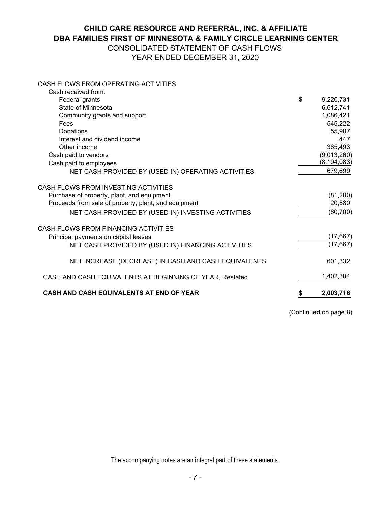## YEAR ENDED DECEMBER 31, 2020 **CHILD CARE RESOURCE AND REFERRAL, INC. & AFFILIATE DBA FAMILIES FIRST OF MINNESOTA & FAMILY CIRCLE LEARNING CENTER** CONSOLIDATED STATEMENT OF CASH FLOWS

#### CASH FLOWS FROM OPERATING ACTIVITIES

| Cash received from:                                      |                 |
|----------------------------------------------------------|-----------------|
| Federal grants                                           | \$<br>9,220,731 |
| State of Minnesota                                       | 6,612,741       |
| Community grants and support                             | 1,086,421       |
| Fees                                                     | 545,222         |
| Donations                                                | 55,987          |
| Interest and dividend income                             | 447             |
| Other income                                             | 365,493         |
| Cash paid to vendors                                     | (9,013,260)     |
| Cash paid to employees                                   | (8, 194, 083)   |
| NET CASH PROVIDED BY (USED IN) OPERATING ACTIVITIES      | 679,699         |
| CASH FLOWS FROM INVESTING ACTIVITIES                     |                 |
| Purchase of property, plant, and equipment               | (81, 280)       |
| Proceeds from sale of property, plant, and equipment     | 20,580          |
| NET CASH PROVIDED BY (USED IN) INVESTING ACTIVITIES      | (60, 700)       |
| CASH FLOWS FROM FINANCING ACTIVITIES                     |                 |
| Principal payments on capital leases                     | (17, 667)       |
| NET CASH PROVIDED BY (USED IN) FINANCING ACTIVITIES      | (17, 667)       |
| NET INCREASE (DECREASE) IN CASH AND CASH EQUIVALENTS     | 601,332         |
| CASH AND CASH EQUIVALENTS AT BEGINNING OF YEAR, Restated | 1,402,384       |
| CASH AND CASH EQUIVALENTS AT END OF YEAR                 | 2,003,716       |
|                                                          |                 |

(Continued on page 8)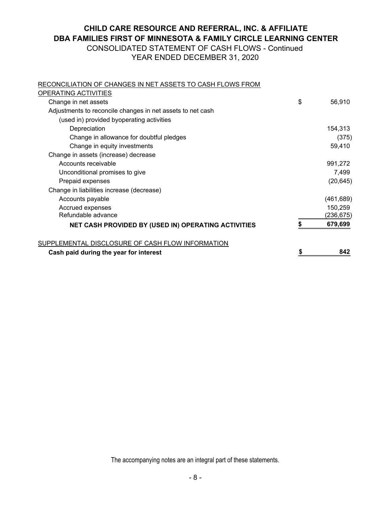# CONSOLIDATED STATEMENT OF CASH FLOWS - Continued **CHILD CARE RESOURCE AND REFERRAL, INC. & AFFILIATE DBA FAMILIES FIRST OF MINNESOTA & FAMILY CIRCLE LEARNING CENTER**

YEAR ENDED DECEMBER 31, 2020

#### RECONCILIATION OF CHANGES IN NET ASSETS TO CASH FLOWS FROM

| Cash paid during the year for interest                     | 842          |
|------------------------------------------------------------|--------------|
| SUPPLEMENTAL DISCLOSURE OF CASH FLOW INFORMATION           |              |
| <b>NET CASH PROVIDED BY (USED IN) OPERATING ACTIVITIES</b> | 679,699      |
| Refundable advance                                         | (236,675)    |
| Accrued expenses                                           | 150,259      |
| Accounts payable                                           | (461, 689)   |
| Change in liabilities increase (decrease)                  |              |
| Prepaid expenses                                           | (20, 645)    |
| Unconditional promises to give                             | 7,499        |
| Accounts receivable                                        | 991,272      |
| Change in assets (increase) decrease                       |              |
| Change in equity investments                               | 59,410       |
| Change in allowance for doubtful pledges                   | (375)        |
| Depreciation                                               | 154,313      |
| (used in) provided byoperating activities                  |              |
| Adjustments to reconcile changes in net assets to net cash |              |
| Change in net assets                                       | \$<br>56,910 |
| OPERATING ACTIVITIES                                       |              |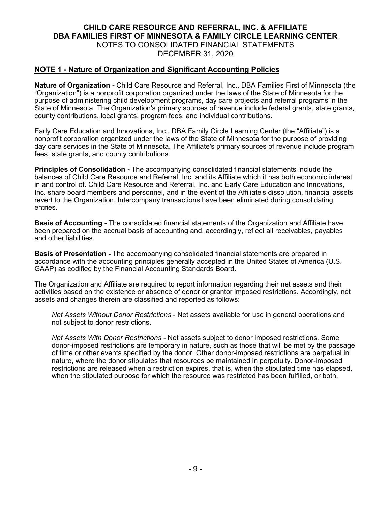### **NOTE 1 - Nature of Organization and Significant Accounting Policies**

**Nature of Organization -** Child Care Resource and Referral, Inc., DBA Families First of Minnesota (the "Organization") is a nonprofit corporation organized under the laws of the State of Minnesota for the purpose of administering child development programs, day care projects and referral programs in the State of Minnesota. The Organization's primary sources of revenue include federal grants, state grants, county contributions, local grants, program fees, and individual contributions.

Early Care Education and Innovations, Inc., DBA Family Circle Learning Center (the "Affiliate") is a nonprofit corporation organized under the laws of the State of Minnesota for the purpose of providing day care services in the State of Minnesota. The Affiliate's primary sources of revenue include program fees, state grants, and county contributions.

**Principles of Consolidation -** The accompanying consolidated financial statements include the balances of Child Care Resource and Referral, Inc. and its Affiliate which it has both economic interest in and control of. Child Care Resource and Referral, Inc. and Early Care Education and Innovations, Inc. share board members and personnel, and in the event of the Affiliate's dissolution, financial assets revert to the Organization. Intercompany transactions have been eliminated during consolidating entries.

**Basis of Accounting -** The consolidated financial statements of the Organization and Affiliate have been prepared on the accrual basis of accounting and, accordingly, reflect all receivables, payables and other liabilities.

**Basis of Presentation -** The accompanying consolidated financial statements are prepared in accordance with the accounting principles generally accepted in the United States of America (U.S. GAAP) as codified by the Financial Accounting Standards Board.

The Organization and Affiliate are required to report information regarding their net assets and their activities based on the existence or absence of donor or grantor imposed restrictions. Accordingly, net assets and changes therein are classified and reported as follows:

*Net Assets Without Donor Restrictions* - Net assets available for use in general operations and not subject to donor restrictions.

*Net Assets With Donor Restrictions -* Net assets subject to donor imposed restrictions. Some donor-imposed restrictions are temporary in nature, such as those that will be met by the passage of time or other events specified by the donor. Other donor-imposed restrictions are perpetual in nature, where the donor stipulates that resources be maintained in perpetuity. Donor-imposed restrictions are released when a restriction expires, that is, when the stipulated time has elapsed, when the stipulated purpose for which the resource was restricted has been fulfilled, or both.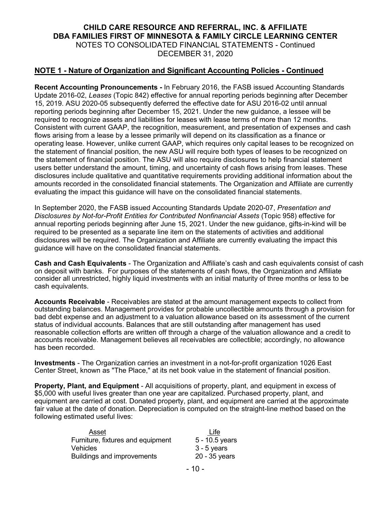#### **NOTE 1 - Nature of Organization and Significant Accounting Policies - Continued**

**Recent Accounting Pronouncements -** In February 2016, the FASB issued Accounting Standards Update 2016-02, *Leases* (Topic 842) effective for annual reporting periods beginning after December 15, 2019. ASU 2020-05 subsequently deferred the effective date for ASU 2016-02 until annual reporting periods beginning after December 15, 2021. Under the new guidance, a lessee will be required to recognize assets and liabilities for leases with lease terms of more than 12 months. Consistent with current GAAP, the recognition, measurement, and presentation of expenses and cash flows arising from a lease by a lessee primarily will depend on its classification as a finance or operating lease. However, unlike current GAAP, which requires only capital leases to be recognized on the statement of financial position, the new ASU will require both types of leases to be recognized on the statement of financial position. The ASU will also require disclosures to help financial statement users better understand the amount, timing, and uncertainty of cash flows arising from leases. These disclosures include qualitative and quantitative requirements providing additional information about the amounts recorded in the consolidated financial statements. The Organization and Affiliate are currently evaluating the impact this guidance will have on the consolidated financial statements.

In September 2020, the FASB issued Accounting Standards Update 2020-07, *Presentation and Disclosures by Not-for-Profit Entities for Contributed Nonfinancial Assets* (Topic 958) effective for annual reporting periods beginning after June 15, 2021. Under the new guidance, gifts-in-kind will be required to be presented as a separate line item on the statements of activities and additional disclosures will be required. The Organization and Affiliate are currently evaluating the impact this guidance will have on the consolidated financial statements.

**Cash and Cash Equivalents** - The Organization and Affiliate's cash and cash equivalents consist of cash on deposit with banks. For purposes of the statements of cash flows, the Organization and Affiliate consider all unrestricted, highly liquid investments with an initial maturity of three months or less to be cash equivalents.

**Accounts Receivable** - Receivables are stated at the amount management expects to collect from outstanding balances. Management provides for probable uncollectible amounts through a provision for bad debt expense and an adjustment to a valuation allowance based on its assessment of the current status of individual accounts. Balances that are still outstanding after management has used reasonable collection efforts are written off through a charge of the valuation allowance and a credit to accounts receivable. Management believes all receivables are collectible; accordingly, no allowance has been recorded.

**Investments** - The Organization carries an investment in a not-for-profit organization 1026 East Center Street, known as "The Place," at its net book value in the statement of financial position.

**Property, Plant, and Equipment** - All acquisitions of property, plant, and equipment in excess of \$5,000 with useful lives greater than one year are capitalized. Purchased property, plant, and equipment are carried at cost. Donated property, plant, and equipment are carried at the approximate fair value at the date of donation. Depreciation is computed on the straight-line method based on the following estimated useful lives:

| Asset                             | Life             |
|-----------------------------------|------------------|
| Furniture, fixtures and equipment | $5 - 10.5$ years |
| <b>Vehicles</b>                   | $3 - 5$ years    |
| Buildings and improvements        | 20 - 35 years    |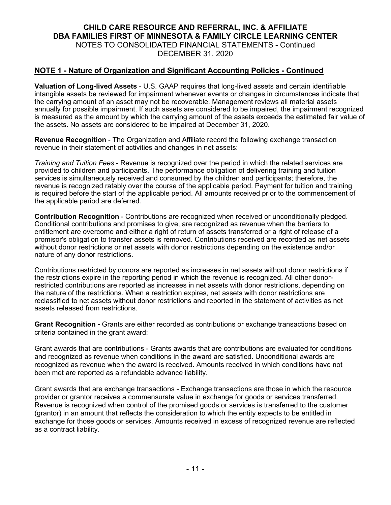### **NOTE 1 - Nature of Organization and Significant Accounting Policies - Continued**

**Valuation of Long-lived Assets** - U.S. GAAP requires that long-lived assets and certain identifiable intangible assets be reviewed for impairment whenever events or changes in circumstances indicate that the carrying amount of an asset may not be recoverable. Management reviews all material assets annually for possible impairment. If such assets are considered to be impaired, the impairment recognized is measured as the amount by which the carrying amount of the assets exceeds the estimated fair value of the assets. No assets are considered to be impaired at December 31, 2020.

**Revenue Recognition** - The Organization and Affiliate record the following exchange transaction revenue in their statement of activities and changes in net assets:

*Training and Tuition Fees* - Revenue is recognized over the period in which the related services are provided to children and participants. The performance obligation of delivering training and tuition services is simultaneously received and consumed by the children and participants; therefore, the revenue is recognized ratably over the course of the applicable period. Payment for tuition and training is required before the start of the applicable period. All amounts received prior to the commencement of the applicable period are deferred.

**Contribution Recognition** - Contributions are recognized when received or unconditionally pledged. Conditional contributions and promises to give, are recognized as revenue when the barriers to entitlement are overcome and either a right of return of assets transferred or a right of release of a promisor's obligation to transfer assets is removed. Contributions received are recorded as net assets without donor restrictions or net assets with donor restrictions depending on the existence and/or nature of any donor restrictions.

Contributions restricted by donors are reported as increases in net assets without donor restrictions if the restrictions expire in the reporting period in which the revenue is recognized. All other donorrestricted contributions are reported as increases in net assets with donor restrictions, depending on the nature of the restrictions. When a restriction expires, net assets with donor restrictions are reclassified to net assets without donor restrictions and reported in the statement of activities as net assets released from restrictions.

**Grant Recognition -** Grants are either recorded as contributions or exchange transactions based on criteria contained in the grant award:

Grant awards that are contributions - Grants awards that are contributions are evaluated for conditions and recognized as revenue when conditions in the award are satisfied. Unconditional awards are recognized as revenue when the award is received. Amounts received in which conditions have not been met are reported as a refundable advance liability.

Grant awards that are exchange transactions - Exchange transactions are those in which the resource provider or grantor receives a commensurate value in exchange for goods or services transferred. Revenue is recognized when control of the promised goods or services is transferred to the customer (grantor) in an amount that reflects the consideration to which the entity expects to be entitled in exchange for those goods or services. Amounts received in excess of recognized revenue are reflected as a contract liability.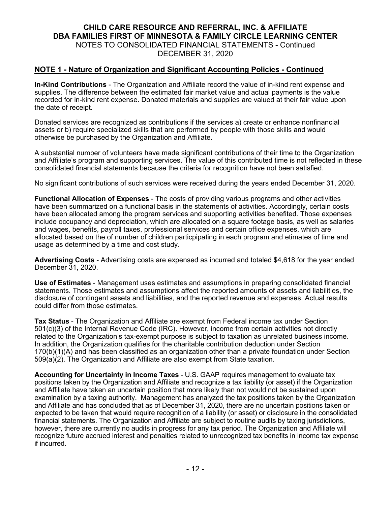#### **NOTE 1 - Nature of Organization and Significant Accounting Policies - Continued**

**In-Kind Contributions** - The Organization and Affiliate record the value of in-kind rent expense and supplies. The difference between the estimated fair market value and actual payments is the value recorded for in-kind rent expense. Donated materials and supplies are valued at their fair value upon the date of receipt.

Donated services are recognized as contributions if the services a) create or enhance nonfinancial assets or b) require specialized skills that are performed by people with those skills and would otherwise be purchased by the Organization and Affiliate.

A substantial number of volunteers have made significant contributions of their time to the Organization and Affiliate's program and supporting services. The value of this contributed time is not reflected in these consolidated financial statements because the criteria for recognition have not been satisfied.

No significant contributions of such services were received during the years ended December 31, 2020.

**Functional Allocation of Expenses** - The costs of providing various programs and other activities have been summarized on a functional basis in the statements of activities. Accordingly, certain costs have been allocated among the program services and supporting activities benefited. Those expenses include occupancy and depreciation, which are allocated on a square footage basis, as well as salaries and wages, benefits, payroll taxes, professional services and certain office expenses, which are allocated based on the of number of children particpipating in each program and etimates of time and usage as determined by a time and cost study.

**Advertising Costs** - Advertising costs are expensed as incurred and totaled \$4,618 for the year ended December 31, 2020.

**Use of Estimates** - Management uses estimates and assumptions in preparing consolidated financial statements. Those estimates and assumptions affect the reported amounts of assets and liabilities, the disclosure of contingent assets and liabilities, and the reported revenue and expenses. Actual results could differ from those estimates.

**Tax Status** - The Organization and Affiliate are exempt from Federal income tax under Section 501(c)(3) of the Internal Revenue Code (IRC). However, income from certain activities not directly related to the Organization's tax-exempt purpose is subject to taxation as unrelated business income. In addition, the Organization qualifies for the charitable contribution deduction under Section 170(b)(1)(A) and has been classified as an organization other than a private foundation under Section 509(a)(2). The Organization and Affiliate are also exempt from State taxation.

**Accounting for Uncertainty in Income Taxes** - U.S. GAAP requires management to evaluate tax positions taken by the Organization and Affiliate and recognize a tax liability (or asset) if the Organization and Affiliate have taken an uncertain position that more likely than not would not be sustained upon examination by a taxing authority. Management has analyzed the tax positions taken by the Organization and Affiliate and has concluded that as of December 31, 2020, there are no uncertain positions taken or expected to be taken that would require recognition of a liability (or asset) or disclosure in the consolidated financial statements. The Organization and Affiliate are subject to routine audits by taxing jurisdictions, however, there are currently no audits in progress for any tax period. The Organization and Affiliate will recognize future accrued interest and penalties related to unrecognized tax benefits in income tax expense if incurred.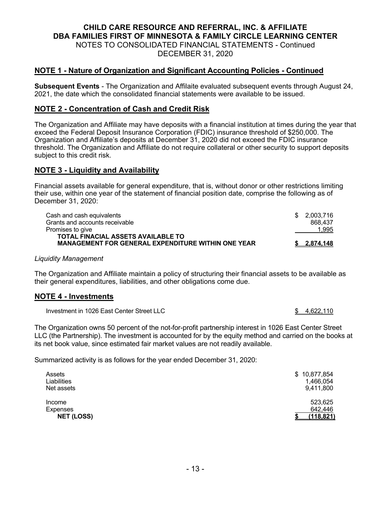DECEMBER 31, 2020

#### **NOTE 1 - Nature of Organization and Significant Accounting Policies - Continued**

**Subsequent Events** - The Organization and Affilaite evaluated subsequent events through August 24, 2021, the date which the consolidated financial statements were available to be issued.

#### **NOTE 2 - Concentration of Cash and Credit Risk**

The Organization and Affiliate may have deposits with a financial institution at times during the year that exceed the Federal Deposit Insurance Corporation (FDIC) insurance threshold of \$250,000. The Organization and Affiliate's deposits at December 31, 2020 did not exceed the FDIC insurance threshold. The Organization and Affiliate do not require collateral or other security to support deposits subject to this credit risk.

#### **NOTE 3 - Liquidity and Availability**

Financial assets available for general expenditure, that is, without donor or other restrictions limiting their use, within one year of the statement of financial position date, comprise the following as of December 31, 2020:

| Cash and cash equivalents                                 | \$2,003,716  |
|-----------------------------------------------------------|--------------|
| Grants and accounts receivable                            | 868.437      |
| Promises to give                                          | 1,995        |
| <b>TOTAL FINACIAL ASSETS AVAILABLE TO</b>                 |              |
| <b>MANAGEMENT FOR GENERAL EXPENDITURE WITHIN ONE YEAR</b> | \$ 2.874.148 |
|                                                           |              |

#### *Liquidity Management*

The Organization and Affiliate maintain a policy of structuring their financial assets to be available as their general expenditures, liabilities, and other obligations come due.

#### **NOTE 4 - Investments**

Investment in 1026 East Center Street LLC  $$ 4,622,110$ 

The Organization owns 50 percent of the not-for-profit partnership interest in 1026 East Center Street LLC (the Partnership). The investment is accounted for by the equity method and carried on the books at its net book value, since estimated fair market values are not readily available.

Summarized activity is as follows for the year ended December 31, 2020:

| Assets            | \$10,877,854     |
|-------------------|------------------|
| Liabilities       | 1,466,054        |
| Net assets        | 9,411,800        |
| Income            | 523,625          |
| Expenses          | 642,446          |
| <b>NET (LOSS)</b> | <u>(118.821)</u> |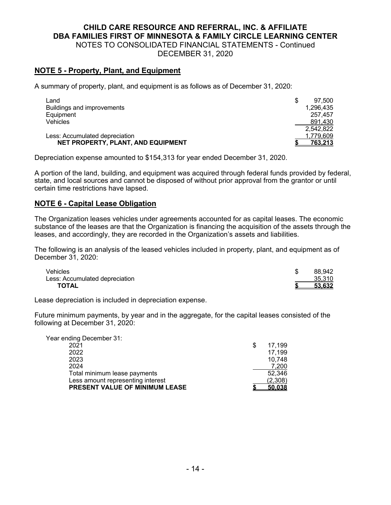## **NOTE 5 - Property, Plant, and Equipment**

A summary of property, plant, and equipment is as follows as of December 31, 2020:

| Land                               | 97.500    |
|------------------------------------|-----------|
| Buildings and improvements         | 1.296.435 |
| Equipment                          | 257.457   |
| Vehicles                           | 891.430   |
|                                    | 2,542,822 |
| Less: Accumulated depreciation     | 1,779,609 |
| NET PROPERTY, PLANT, AND EQUIPMENT | 763.213   |

Depreciation expense amounted to \$154,313 for year ended December 31, 2020.

A portion of the land, building, and equipment was acquired through federal funds provided by federal, state, and local sources and cannot be disposed of without prior approval from the grantor or until certain time restrictions have lapsed.

#### **NOTE 6 - Capital Lease Obligation**

The Organization leases vehicles under agreements accounted for as capital leases. The economic substance of the leases are that the Organization is financing the acquisition of the assets through the leases, and accordingly, they are recorded in the Organization's assets and liabilities.

The following is an analysis of the leased vehicles included in property, plant, and equipment as of December 31, 2020:

| Vehicles                       | 88,942 |
|--------------------------------|--------|
| Less: Accumulated depreciation | 35,310 |
| <b>TOTAL</b>                   | 53.632 |

Lease depreciation is included in depreciation expense.

Future minimum payments, by year and in the aggregate, for the capital leases consisted of the following at December 31, 2020:

| Year ending December 31:          |   |         |
|-----------------------------------|---|---------|
| 2021                              | S | 17.199  |
| 2022                              |   | 17,199  |
| 2023                              |   | 10,748  |
| 2024                              |   | 7,200   |
| Total minimum lease payments      |   | 52.346  |
| Less amount representing interest |   | (2,308) |
| PRESENT VALUE OF MINIMUM LEASE    |   | 50.038  |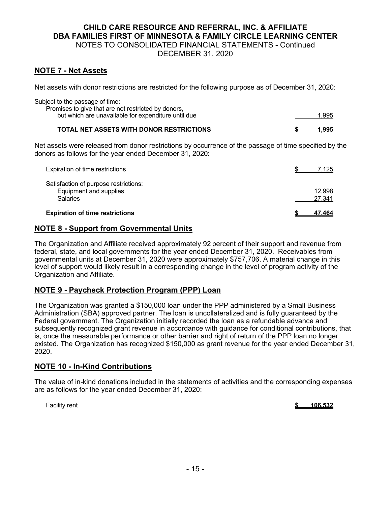## **NOTE 7 - Net Assets**

Net assets with donor restrictions are restricted for the following purpose as of December 31, 2020:

| Promises to give that are not restricted by donors,<br>but which are unavailable for expenditure until due | 1.995 |
|------------------------------------------------------------------------------------------------------------|-------|
| <b>TOTAL NET ASSETS WITH DONOR RESTRICTIONS</b>                                                            | 1.995 |

Net assets were released from donor restrictions by occurrence of the passage of time specified by the donors as follows for the year ended December 31, 2020:

| <b>Expiration of time restrictions</b>    |                  |
|-------------------------------------------|------------------|
| Equipment and supplies<br><b>Salaries</b> | 12,998<br>27,341 |
| Satisfaction of purpose restrictions:     |                  |
| Expiration of time restrictions           | 7.125            |

### **NOTE 8 - Support from Governmental Units**

The Organization and Affiliate received approximately 92 percent of their support and revenue from federal, state, and local governments for the year ended December 31, 2020. Receivables from governmental units at December 31, 2020 were approximately \$757,706. A material change in this level of support would likely result in a corresponding change in the level of program activity of the Organization and Affiliate.

### **NOTE 9 - Paycheck Protection Program (PPP) Loan**

The Organization was granted a \$150,000 loan under the PPP administered by a Small Business Administration (SBA) approved partner. The loan is uncollateralized and is fully guaranteed by the Federal government. The Organization initially recorded the loan as a refundable advance and subsequently recognized grant revenue in accordance with guidance for conditional contributions, that is, once the measurable performance or other barrier and right of return of the PPP loan no longer existed. The Organization has recognized \$150,000 as grant revenue for the year ended December 31, 2020.

#### **NOTE 10 - In-Kind Contributions**

The value of in-kind donations included in the statements of activities and the corresponding expenses are as follows for the year ended December 31, 2020:

**Facility rent \$ 106.532**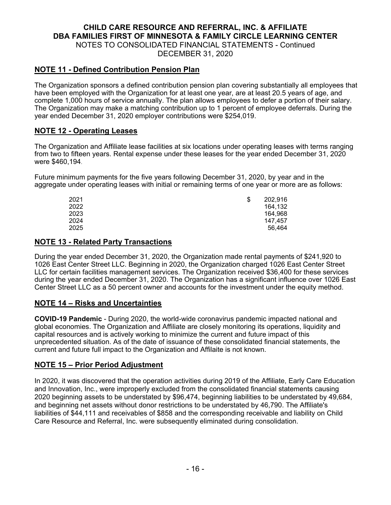## **NOTE 11 - Defined Contribution Pension Plan**

The Organization sponsors a defined contribution pension plan covering substantially all employees that have been employed with the Organization for at least one year, are at least 20.5 years of age, and complete 1,000 hours of service annually. The plan allows employees to defer a portion of their salary. The Organization may make a matching contribution up to 1 percent of employee deferrals. During the year ended December 31, 2020 employer contributions were \$254,019.

### **NOTE 12 - Operating Leases**

The Organization and Affiliate lease facilities at six locations under operating leases with terms ranging from two to fifteen years. Rental expense under these leases for the year ended December 31, 2020 were \$460,194.

Future minimum payments for the five years following December 31, 2020, by year and in the aggregate under operating leases with initial or remaining terms of one year or more are as follows:

| 2021 | 202,916 |
|------|---------|
| 2022 | 164,132 |
| 2023 | 164,968 |
| 2024 | 147.457 |
| 2025 | 56,464  |

### **NOTE 13 - Related Party Transactions**

During the year ended December 31, 2020, the Organization made rental payments of \$241,920 to 1026 East Center Street LLC. Beginning in 2020, the Organization charged 1026 East Center Street LLC for certain facilities management services. The Organization received \$36,400 for these services during the year ended December 31, 2020. The Organization has a significant influence over 1026 East Center Street LLC as a 50 percent owner and accounts for the investment under the equity method.

### **NOTE 14 – Risks and Uncertainties**

**COVID-19 Pandemic** - During 2020, the world-wide coronavirus pandemic impacted national and global economies. The Organization and Affiliate are closely monitoring its operations, liquidity and capital resources and is actively working to minimize the current and future impact of this unprecedented situation. As of the date of issuance of these consolidated financial statements, the current and future full impact to the Organization and Affilaite is not known.

### **NOTE 15 – Prior Period Adjustment**

In 2020, it was discovered that the operation activities during 2019 of the Affiliate, Early Care Education and Innovation, Inc., were improperly excluded from the consolidated financial statements causing 2020 beginning assets to be understated by \$96,474, beginning liabilities to be understated by 49,684, and beginning net assets without donor restrictions to be understated by 46,790. The Affiliate's liabilities of \$44,111 and receivables of \$858 and the corresponding receivable and liability on Child Care Resource and Referral, Inc. were subsequently eliminated during consolidation.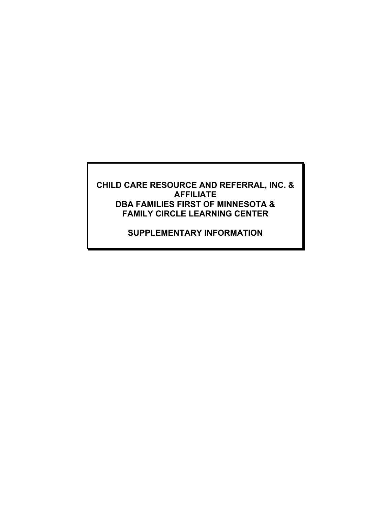**SUPPLEMENTARY INFORMATION**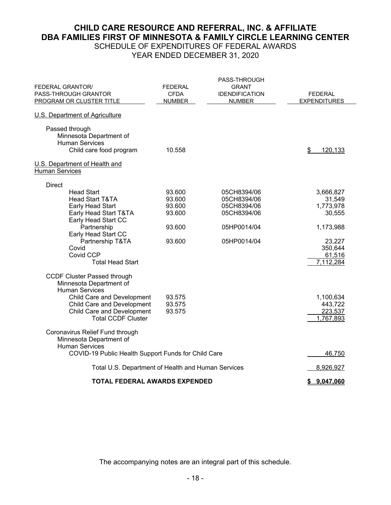SCHEDULE OF EXPENDITURES OF FEDERAL AWARDS YEAR ENDED DECEMBER 31, 2020

| <b>FEDERAL GRANTOR/</b><br>PASS-THROUGH GRANTOR<br>PROGRAM OR CLUSTER TITLE                                                                                                                                                                                                | FEDERAL<br><b>CFDA</b><br><b>NUMBER</b>                  | PASS-THROUGH<br><b>GRANT</b><br><b>IDENDIFICATION</b><br><b>NUMBER</b>                 | <b>FEDERAL</b><br><b>EXPENDITURES</b>                                                               |
|----------------------------------------------------------------------------------------------------------------------------------------------------------------------------------------------------------------------------------------------------------------------------|----------------------------------------------------------|----------------------------------------------------------------------------------------|-----------------------------------------------------------------------------------------------------|
| U.S. Department of Agriculture                                                                                                                                                                                                                                             |                                                          |                                                                                        |                                                                                                     |
| Passed through<br>Minnesota Department of<br><b>Human Services</b><br>Child care food program                                                                                                                                                                              | 10.558                                                   |                                                                                        | 120,133<br>\$                                                                                       |
| U.S. Department of Health and<br><b>Human Services</b>                                                                                                                                                                                                                     |                                                          |                                                                                        |                                                                                                     |
| <b>Direct</b><br><b>Head Start</b><br>Head Start T&TA<br>Early Head Start<br>Early Head Start T&TA<br>Early Head Start CC<br>Partnership<br>Early Head Start CC<br>Partnership T&TA<br>Covid<br>Covid CCP<br><b>Total Head Start</b><br><b>CCDF Cluster Passed through</b> | 93.600<br>93.600<br>93.600<br>93.600<br>93.600<br>93.600 | 05CH8394/06<br>05CH8394/06<br>05CH8394/06<br>05CH8394/06<br>05HP0014/04<br>05HP0014/04 | 3,666,827<br>31,549<br>1,773,978<br>30,555<br>1,173,988<br>23,227<br>350,644<br>61,516<br>7,112,284 |
| Minnesota Department of<br>Human Services<br>Child Care and Development<br>Child Care and Development<br>Child Care and Development<br><b>Total CCDF Cluster</b>                                                                                                           | 93.575<br>93.575<br>93.575                               |                                                                                        | 1,100,634<br>443,722<br>223,537<br>1,767,893                                                        |
| Coronavirus Relief Fund through<br>Minnesota Department of<br><b>Human Services</b><br>COVID-19 Public Health Support Funds for Child Care                                                                                                                                 |                                                          |                                                                                        | 46,750                                                                                              |
| Total U.S. Department of Health and Human Services                                                                                                                                                                                                                         |                                                          |                                                                                        | 8,926,927                                                                                           |
| TOTAL FEDERAL AWARDS EXPENDED                                                                                                                                                                                                                                              |                                                          |                                                                                        | 9,047,060<br>\$                                                                                     |

The accompanying notes are an integral part of this schedule.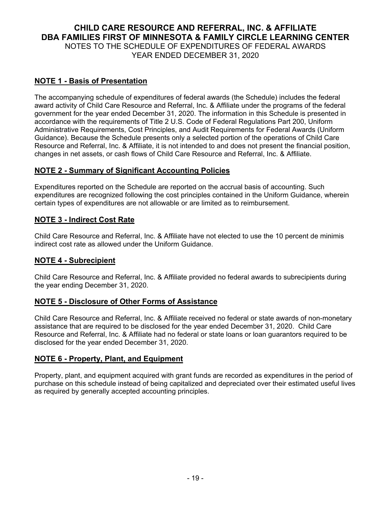### **CHILD CARE RESOURCE AND REFERRAL, INC. & AFFILIATE DBA FAMILIES FIRST OF MINNESOTA & FAMILY CIRCLE LEARNING CENTER**  NOTES TO THE SCHEDULE OF EXPENDITURES OF FEDERAL AWARDS YEAR ENDED DECEMBER 31, 2020

## **NOTE 1 - Basis of Presentation**

The accompanying schedule of expenditures of federal awards (the Schedule) includes the federal award activity of Child Care Resource and Referral, Inc. & Affiliate under the programs of the federal government for the year ended December 31, 2020. The information in this Schedule is presented in accordance with the requirements of Title 2 U.S. Code of Federal Regulations Part 200, Uniform Administrative Requirements, Cost Principles, and Audit Requirements for Federal Awards (Uniform Guidance). Because the Schedule presents only a selected portion of the operations of Child Care Resource and Referral, Inc. & Affiliate, it is not intended to and does not present the financial position, changes in net assets, or cash flows of Child Care Resource and Referral, Inc. & Affiliate.

### **NOTE 2 - Summary of Significant Accounting Policies**

Expenditures reported on the Schedule are reported on the accrual basis of accounting. Such expenditures are recognized following the cost principles contained in the Uniform Guidance, wherein certain types of expenditures are not allowable or are limited as to reimbursement.

### **NOTE 3 - Indirect Cost Rate**

Child Care Resource and Referral, Inc. & Affiliate have not elected to use the 10 percent de minimis indirect cost rate as allowed under the Uniform Guidance.

### **NOTE 4 - Subrecipient**

Child Care Resource and Referral, Inc. & Affiliate provided no federal awards to subrecipients during the year ending December 31, 2020.

### **NOTE 5 - Disclosure of Other Forms of Assistance**

Child Care Resource and Referral, Inc. & Affiliate received no federal or state awards of non-monetary assistance that are required to be disclosed for the year ended December 31, 2020. Child Care Resource and Referral, Inc. & Affiliate had no federal or state loans or loan guarantors required to be disclosed for the year ended December 31, 2020.

### **NOTE 6 - Property, Plant, and Equipment**

Property, plant, and equipment acquired with grant funds are recorded as expenditures in the period of purchase on this schedule instead of being capitalized and depreciated over their estimated useful lives as required by generally accepted accounting principles.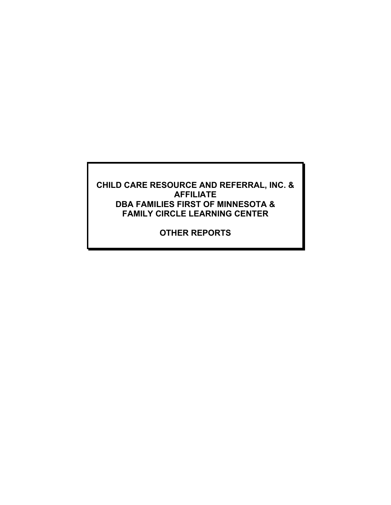**OTHER REPORTS**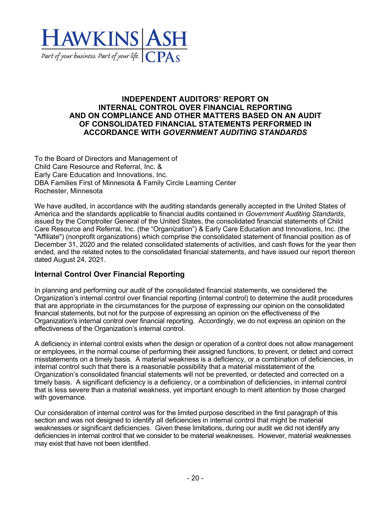

#### **INDEPENDENT AUDITORS' REPORT ON INTERNAL CONTROL OVER FINANCIAL REPORTING AND ON COMPLIANCE AND OTHER MATTERS BASED ON AN AUDIT OF CONSOLIDATED FINANCIAL STATEMENTS PERFORMED IN ACCORDANCE WITH** *GOVERNMENT AUDITING STANDARDS*

To the Board of Directors and Management of Child Care Resource and Referral, Inc. & Early Care Education and Innovations, Inc. DBA Families First of Minnesota & Family Circle Learning Center Rochester, Minnesota

We have audited, in accordance with the auditing standards generally accepted in the United States of America and the standards applicable to financial audits contained in *Government Auditing Standards*, issued by the Comptroller General of the United States, the consolidated financial statements of Child Care Resource and Referral, Inc. (the "Organization") & Early Care Education and Innovations, Inc. (the "Affiliate") (nonprofit organizations) which comprise the consolidated statement of financial position as of December 31, 2020 and the related consolidated statements of activities, and cash flows for the year then ended, and the related notes to the consolidated financial statements, and have issued our report thereon dated August 24, 2021.

### **Internal Control Over Financial Reporting**

In planning and performing our audit of the consolidated financial statements, we considered the Organization's internal control over financial reporting (internal control) to determine the audit procedures that are appropriate in the circumstances for the purpose of expressing our opinion on the consolidated financial statements, but not for the purpose of expressing an opinion on the effectiveness of the Organization's internal control over financial reporting. Accordingly, we do not express an opinion on the effectiveness of the Organization's internal control.

A deficiency in internal control exists when the design or operation of a control does not allow management or employees, in the normal course of performing their assigned functions, to prevent, or detect and correct misstatements on a timely basis. A material weakness is a deficiency, or a combination of deficiencies, in internal control such that there is a reasonable possibility that a material misstatement of the Organization's consolidated financial statements will not be prevented, or detected and corrected on a timely basis. A significant deficiency is a deficiency, or a combination of deficiencies, in internal control that is less severe than a material weakness, yet important enough to merit attention by those charged with governance.

Our consideration of internal control was for the limited purpose described in the first paragraph of this section and was not designed to identify all deficiencies in internal control that might be material weaknesses or significant deficiencies. Given these limitations, during our audit we did not identify any deficiencies in internal control that we consider to be material weaknesses. However, material weaknesses may exist that have not been identified.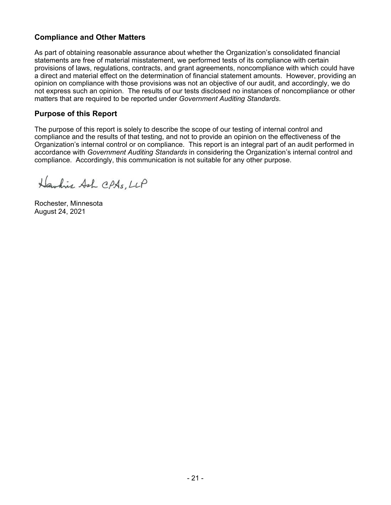## **Compliance and Other Matters**

As part of obtaining reasonable assurance about whether the Organization's consolidated financial statements are free of material misstatement, we performed tests of its compliance with certain provisions of laws, regulations, contracts, and grant agreements, noncompliance with which could have a direct and material effect on the determination of financial statement amounts. However, providing an opinion on compliance with those provisions was not an objective of our audit, and accordingly, we do not express such an opinion. The results of our tests disclosed no instances of noncompliance or other matters that are required to be reported under *Government Auditing Standards*.

#### **Purpose of this Report**

The purpose of this report is solely to describe the scope of our testing of internal control and compliance and the results of that testing, and not to provide an opinion on the effectiveness of the Organization's internal control or on compliance. This report is an integral part of an audit performed in accordance with *Government Auditing Standards* in considering the Organization's internal control and compliance. Accordingly, this communication is not suitable for any other purpose.

Hawkie Ash CPAS, LLP

Rochester, Minnesota August 24, 2021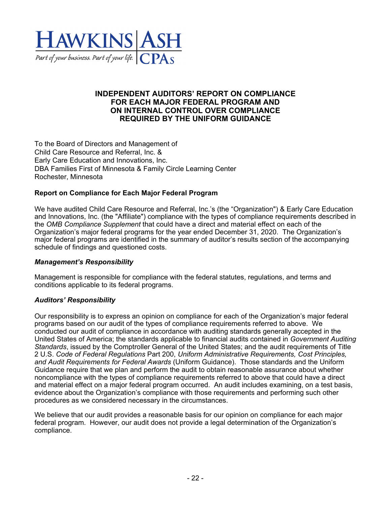

#### **INDEPENDENT AUDITORS' REPORT ON COMPLIANCE FOR EACH MAJOR FEDERAL PROGRAM AND ON INTERNAL CONTROL OVER COMPLIANCE REQUIRED BY THE UNIFORM GUIDANCE**

To the Board of Directors and Management of Child Care Resource and Referral, Inc. & Early Care Education and Innovations, Inc. DBA Families First of Minnesota & Family Circle Learning Center Rochester, Minnesota

#### **Report on Compliance for Each Major Federal Program**

We have audited Child Care Resource and Referral, Inc.'s (the "Organization") & Early Care Education and Innovations, Inc. (the "Affiliate") compliance with the types of compliance requirements described in the *OMB Compliance Supplement* that could have a direct and material effect on each of the Organization's major federal programs for the year ended December 31, 2020. The Organization's major federal programs are identified in the summary of auditor's results section of the accompanying schedule of findings and questioned costs.

#### *Management's Responsibility*

Management is responsible for compliance with the federal statutes, regulations, and terms and conditions applicable to its federal programs.

#### *Auditors' Responsibility*

Our responsibility is to express an opinion on compliance for each of the Organization's major federal programs based on our audit of the types of compliance requirements referred to above. We conducted our audit of compliance in accordance with auditing standards generally accepted in the United States of America; the standards applicable to financial audits contained in *Government Auditing Standards*, issued by the Comptroller General of the United States; and the audit requirements of Title 2 U.S. *Code of Federal Regulations* Part 200, *Uniform Administrative Requirements, Cost Principles, and Audit Requirements for Federal Awards* (Uniform Guidance). Those standards and the Uniform Guidance require that we plan and perform the audit to obtain reasonable assurance about whether noncompliance with the types of compliance requirements referred to above that could have a direct and material effect on a major federal program occurred. An audit includes examining, on a test basis, evidence about the Organization's compliance with those requirements and performing such other procedures as we considered necessary in the circumstances.

We believe that our audit provides a reasonable basis for our opinion on compliance for each major federal program. However, our audit does not provide a legal determination of the Organization's compliance.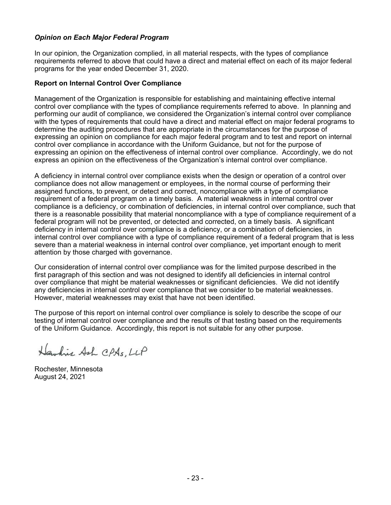#### *Opinion on Each Major Federal Program*

In our opinion, the Organization complied, in all material respects, with the types of compliance requirements referred to above that could have a direct and material effect on each of its major federal programs for the year ended December 31, 2020.

#### **Report on Internal Control Over Compliance**

Management of the Organization is responsible for establishing and maintaining effective internal control over compliance with the types of compliance requirements referred to above. In planning and performing our audit of compliance, we considered the Organization's internal control over compliance with the types of requirements that could have a direct and material effect on major federal programs to determine the auditing procedures that are appropriate in the circumstances for the purpose of expressing an opinion on compliance for each major federal program and to test and report on internal control over compliance in accordance with the Uniform Guidance, but not for the purpose of expressing an opinion on the effectiveness of internal control over compliance. Accordingly, we do not express an opinion on the effectiveness of the Organization's internal control over compliance.

A deficiency in internal control over compliance exists when the design or operation of a control over compliance does not allow management or employees, in the normal course of performing their assigned functions, to prevent, or detect and correct, noncompliance with a type of compliance requirement of a federal program on a timely basis. A material weakness in internal control over compliance is a deficiency, or combination of deficiencies, in internal control over compliance, such that there is a reasonable possibility that material noncompliance with a type of compliance requirement of a federal program will not be prevented, or detected and corrected, on a timely basis. A significant deficiency in internal control over compliance is a deficiency, or a combination of deficiencies, in internal control over compliance with a type of compliance requirement of a federal program that is less severe than a material weakness in internal control over compliance, yet important enough to merit attention by those charged with governance.

Our consideration of internal control over compliance was for the limited purpose described in the first paragraph of this section and was not designed to identify all deficiencies in internal control over compliance that might be material weaknesses or significant deficiencies. We did not identify any deficiencies in internal control over compliance that we consider to be material weaknesses. However, material weaknesses may exist that have not been identified.

The purpose of this report on internal control over compliance is solely to describe the scope of our testing of internal control over compliance and the results of that testing based on the requirements of the Uniform Guidance. Accordingly, this report is not suitable for any other purpose.

Hawkis Ash CPAS, LLP

Rochester, Minnesota August 24, 2021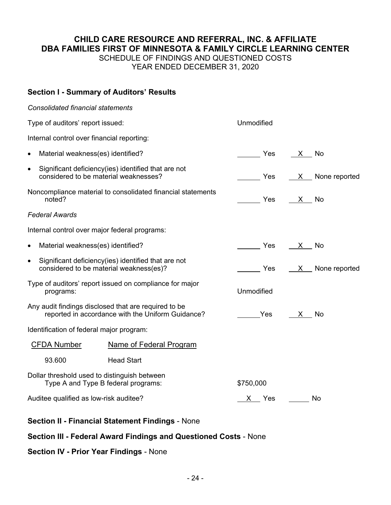# **CHILD CARE RESOURCE AND REFERRAL, INC. & AFFILIATE**

**DBA FAMILIES FIRST OF MINNESOTA & FAMILY CIRCLE LEARNING CENTER** 

SCHEDULE OF FINDINGS AND QUESTIONED COSTS YEAR ENDED DECEMBER 31, 2020

## **Section I - Summary of Auditors' Results**

| <b>Consolidated financial statements</b>                                                                  |                                                                                                |            |                    |
|-----------------------------------------------------------------------------------------------------------|------------------------------------------------------------------------------------------------|------------|--------------------|
| Type of auditors' report issued:                                                                          |                                                                                                | Unmodified |                    |
| Internal control over financial reporting:                                                                |                                                                                                |            |                    |
| Material weakness(es) identified?<br>$\bullet$                                                            |                                                                                                | Yes        | X No               |
| $\bullet$                                                                                                 | Significant deficiency(ies) identified that are not<br>considered to be material weaknesses?   | Yes        | $X$ None reported  |
| Noncompliance material to consolidated financial statements<br>noted?                                     |                                                                                                | Yes        | X No               |
| <b>Federal Awards</b>                                                                                     |                                                                                                |            |                    |
| Internal control over major federal programs:                                                             |                                                                                                |            |                    |
| Material weakness(es) identified?<br>$\bullet$                                                            |                                                                                                | Yes        | No<br>$\mathsf{X}$ |
| $\bullet$                                                                                                 | Significant deficiency(ies) identified that are not<br>considered to be material weakness(es)? | Yes        | $X$ None reported  |
| programs:                                                                                                 | Type of auditors' report issued on compliance for major                                        | Unmodified |                    |
| Any audit findings disclosed that are required to be<br>reported in accordance with the Uniform Guidance? |                                                                                                | Yes        | X No               |
| Identification of federal major program:                                                                  |                                                                                                |            |                    |
| <b>CFDA Number</b>                                                                                        | Name of Federal Program                                                                        |            |                    |
| 93.600                                                                                                    | <b>Head Start</b>                                                                              |            |                    |
| Dollar threshold used to distinguish between                                                              | Type A and Type B federal programs:                                                            | \$750,000  |                    |
| Auditee qualified as low-risk auditee?                                                                    |                                                                                                | X Yes      | No                 |
|                                                                                                           |                                                                                                |            |                    |

- **Section II Financial Statement Findings** None
- **Section III Federal Award Findings and Questioned Costs** None
- **Section IV Prior Year Findings** None